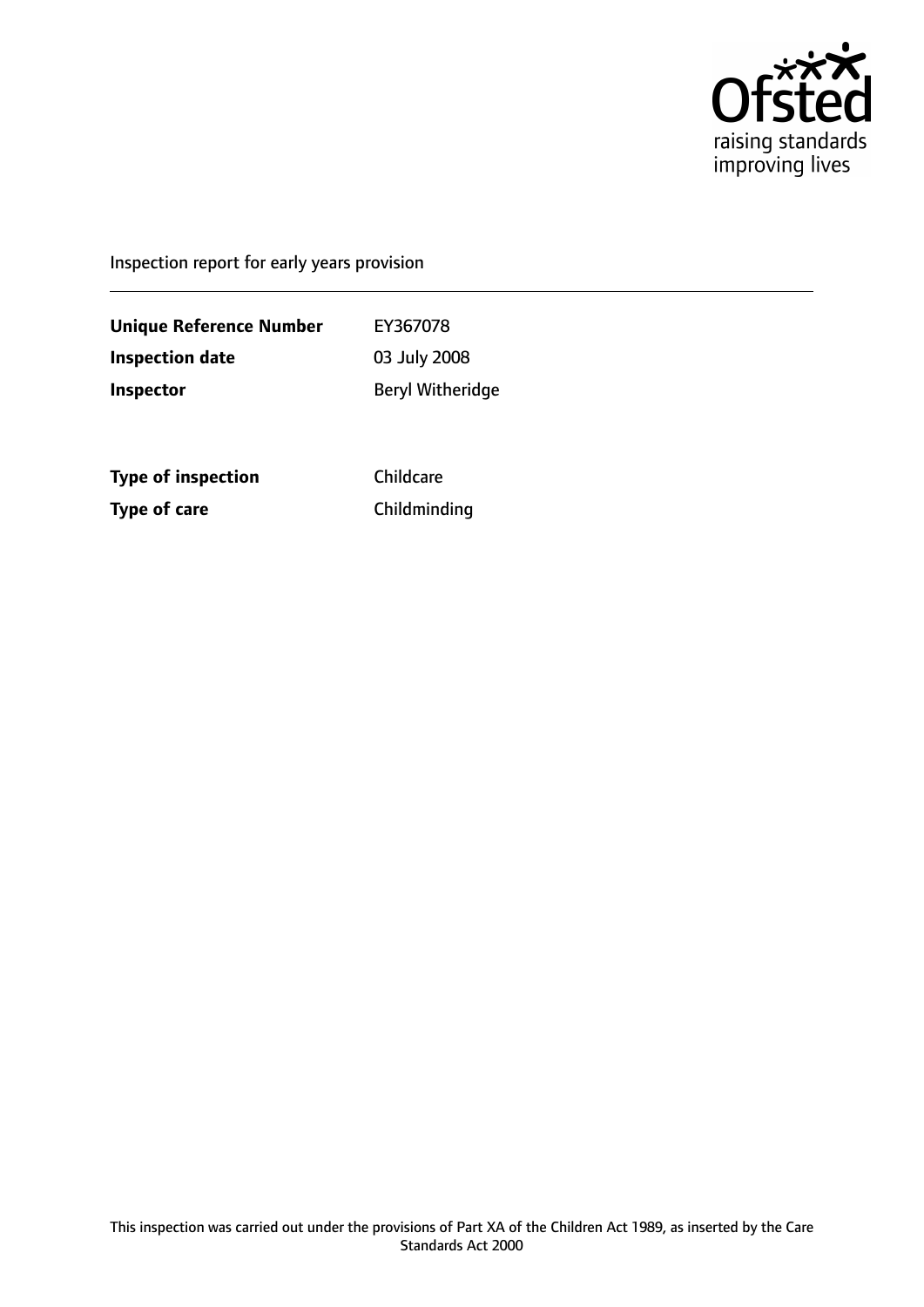

Inspection report for early years provision

**Unique Reference Number** EY367078 **Inspection date** 03 July 2008 **Inspector** Beryl Witheridge

**Type of inspection** Childcare **Type of care** Childminding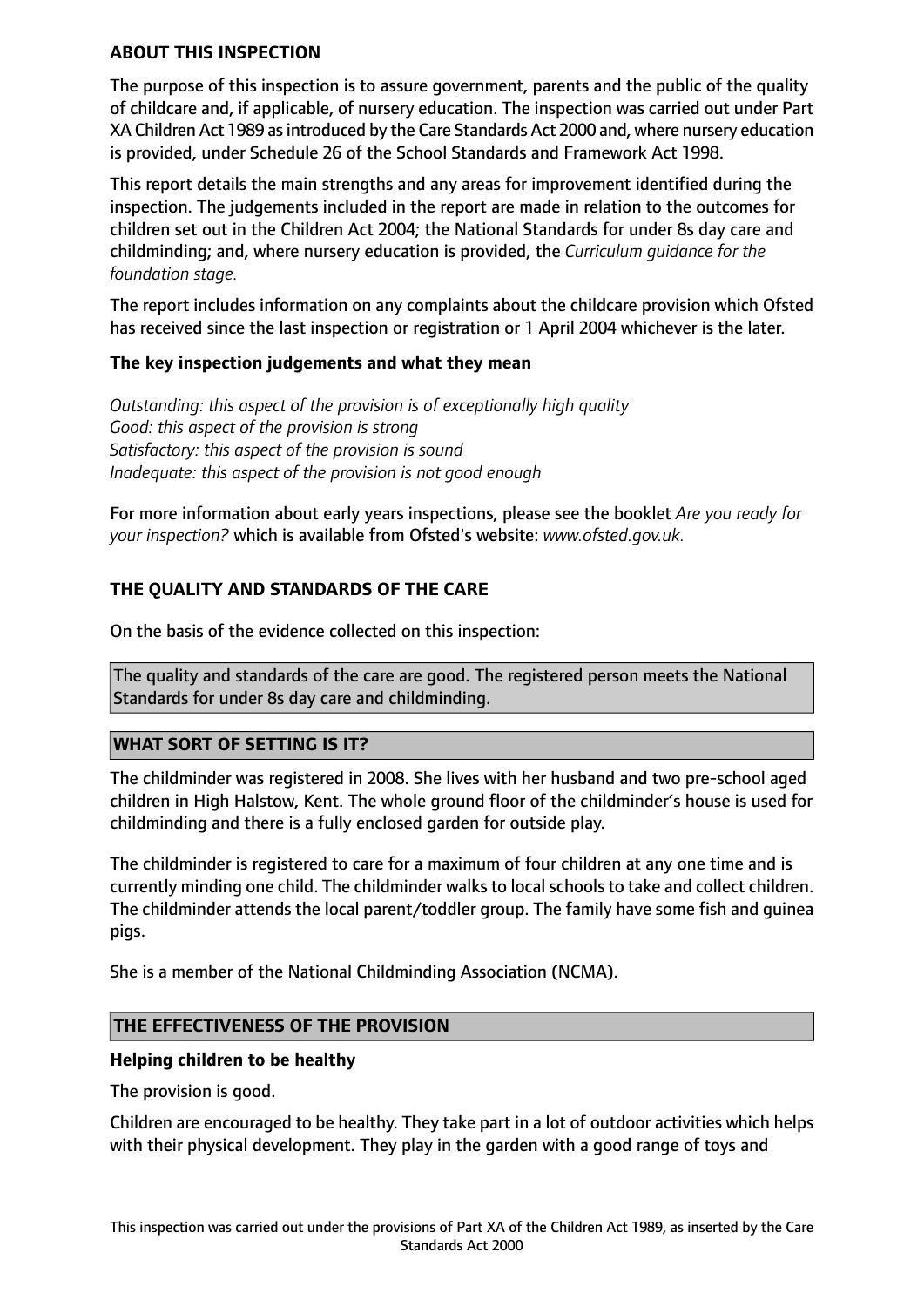#### **ABOUT THIS INSPECTION**

The purpose of this inspection is to assure government, parents and the public of the quality of childcare and, if applicable, of nursery education. The inspection was carried out under Part XA Children Act 1989 asintroduced by the Care Standards Act 2000 and, where nursery education is provided, under Schedule 26 of the School Standards and Framework Act 1998.

This report details the main strengths and any areas for improvement identified during the inspection. The judgements included in the report are made in relation to the outcomes for children set out in the Children Act 2004; the National Standards for under 8s day care and childminding; and, where nursery education is provided, the *Curriculum guidance for the foundation stage.*

The report includes information on any complaints about the childcare provision which Ofsted has received since the last inspection or registration or 1 April 2004 whichever is the later.

# **The key inspection judgements and what they mean**

*Outstanding: this aspect of the provision is of exceptionally high quality Good: this aspect of the provision is strong Satisfactory: this aspect of the provision is sound Inadequate: this aspect of the provision is not good enough*

For more information about early years inspections, please see the booklet *Are you ready for your inspection?* which is available from Ofsted's website: *www.ofsted.gov.uk.*

# **THE QUALITY AND STANDARDS OF THE CARE**

On the basis of the evidence collected on this inspection:

The quality and standards of the care are good. The registered person meets the National Standards for under 8s day care and childminding.

#### **WHAT SORT OF SETTING IS IT?**

The childminder was registered in 2008. She lives with her husband and two pre-school aged children in High Halstow, Kent. The whole ground floor of the childminder's house is used for childminding and there is a fully enclosed garden for outside play.

The childminder is registered to care for a maximum of four children at any one time and is currently minding one child. The childminder walks to local schools to take and collect children. The childminder attends the local parent/toddler group. The family have some fish and guinea pigs.

She is a member of the National Childminding Association (NCMA).

#### **THE EFFECTIVENESS OF THE PROVISION**

#### **Helping children to be healthy**

The provision is good.

Children are encouraged to be healthy. They take part in a lot of outdoor activities which helps with their physical development. They play in the garden with a good range of toys and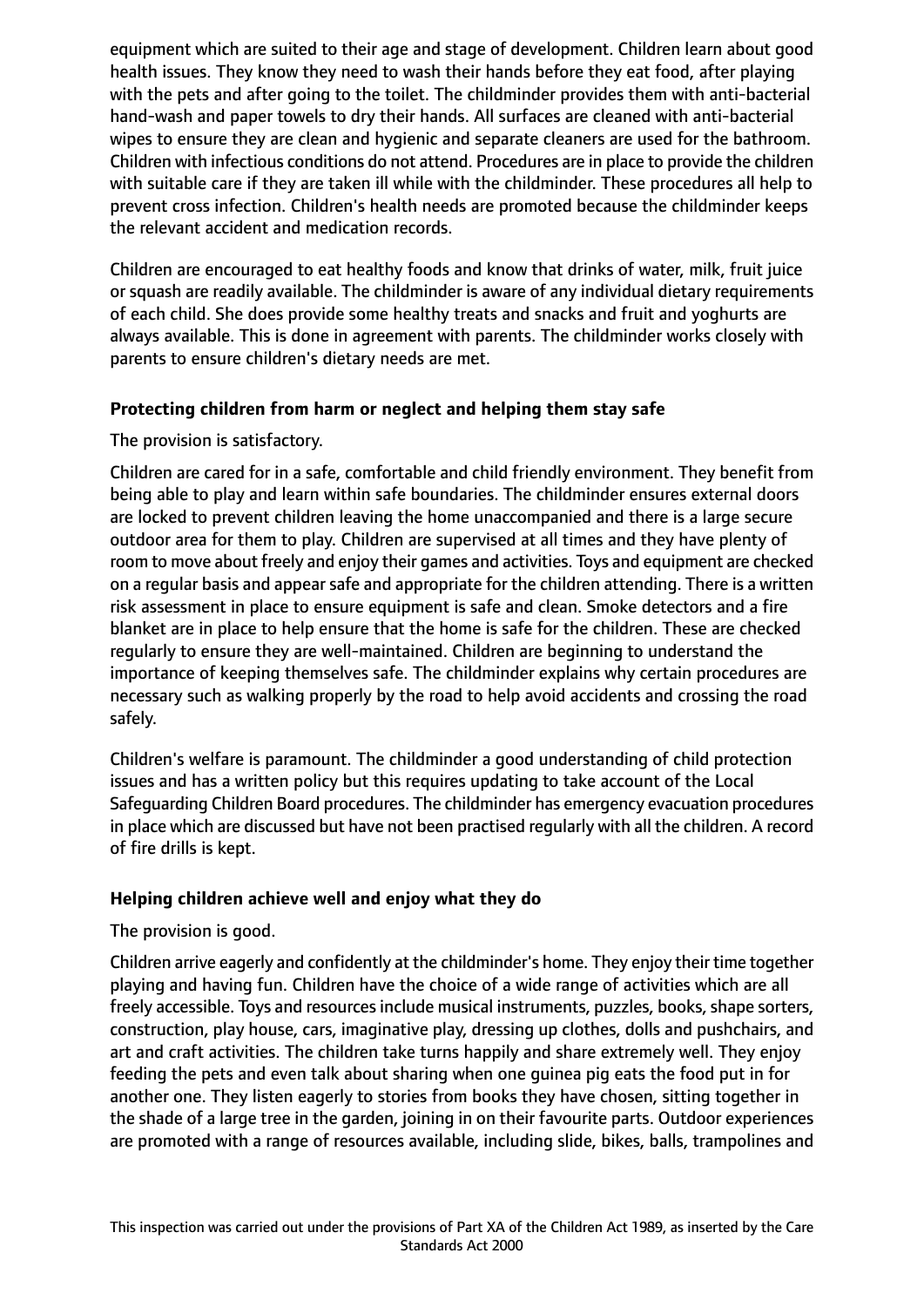equipment which are suited to their age and stage of development. Children learn about good health issues. They know they need to wash their hands before they eat food, after playing with the pets and after going to the toilet. The childminder provides them with anti-bacterial hand-wash and paper towels to dry their hands. All surfaces are cleaned with anti-bacterial wipes to ensure they are clean and hygienic and separate cleaners are used for the bathroom. Children with infectious conditions do not attend. Procedures are in place to provide the children with suitable care if they are taken ill while with the childminder. These procedures all help to prevent cross infection. Children's health needs are promoted because the childminder keeps the relevant accident and medication records.

Children are encouraged to eat healthy foods and know that drinks of water, milk, fruit juice or squash are readily available. The childminder is aware of any individual dietary requirements of each child. She does provide some healthy treats and snacks and fruit and yoghurts are always available. This is done in agreement with parents. The childminder works closely with parents to ensure children's dietary needs are met.

# **Protecting children from harm or neglect and helping them stay safe**

# The provision is satisfactory.

Children are cared for in a safe, comfortable and child friendly environment. They benefit from being able to play and learn within safe boundaries. The childminder ensures external doors are locked to prevent children leaving the home unaccompanied and there is a large secure outdoor area for them to play. Children are supervised at all times and they have plenty of room to move about freely and enjoy their games and activities. Toys and equipment are checked on a regular basis and appear safe and appropriate for the children attending. There is a written risk assessment in place to ensure equipment is safe and clean. Smoke detectors and a fire blanket are in place to help ensure that the home is safe for the children. These are checked regularly to ensure they are well-maintained. Children are beginning to understand the importance of keeping themselves safe. The childminder explains why certain procedures are necessary such as walking properly by the road to help avoid accidents and crossing the road safely.

Children's welfare is paramount. The childminder a good understanding of child protection issues and has a written policy but this requires updating to take account of the Local Safeguarding Children Board procedures. The childminder has emergency evacuation procedures in place which are discussed but have not been practised regularly with all the children. A record of fire drills is kept.

# **Helping children achieve well and enjoy what they do**

# The provision is good.

Children arrive eagerly and confidently at the childminder's home. They enjoy their time together playing and having fun. Children have the choice of a wide range of activities which are all freely accessible. Toys and resources include musical instruments, puzzles, books, shape sorters, construction, play house, cars, imaginative play, dressing up clothes, dolls and pushchairs, and art and craft activities. The children take turns happily and share extremely well. They enjoy feeding the pets and even talk about sharing when one guinea pig eats the food put in for another one. They listen eagerly to stories from books they have chosen, sitting together in the shade of a large tree in the garden, joining in on their favourite parts. Outdoor experiences are promoted with a range of resources available, including slide, bikes, balls, trampolines and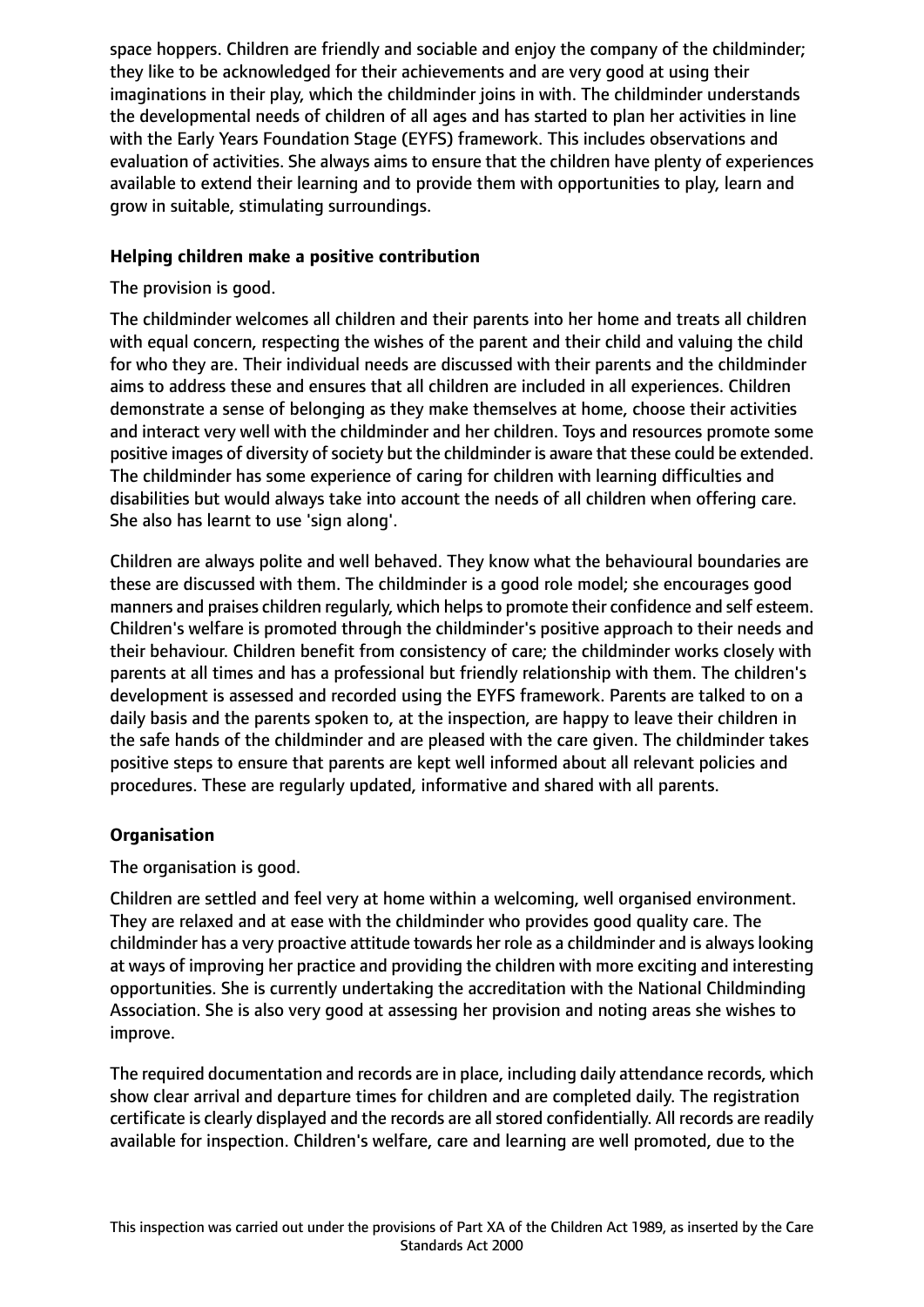space hoppers. Children are friendly and sociable and enjoy the company of the childminder; they like to be acknowledged for their achievements and are very good at using their imaginations in their play, which the childminder joins in with. The childminder understands the developmental needs of children of all ages and has started to plan her activities in line with the Early Years Foundation Stage (EYFS) framework. This includes observations and evaluation of activities. She always aims to ensure that the children have plenty of experiences available to extend their learning and to provide them with opportunities to play, learn and grow in suitable, stimulating surroundings.

# **Helping children make a positive contribution**

The provision is good.

The childminder welcomes all children and their parents into her home and treats all children with equal concern, respecting the wishes of the parent and their child and valuing the child for who they are. Their individual needs are discussed with their parents and the childminder aims to address these and ensures that all children are included in all experiences. Children demonstrate a sense of belonging as they make themselves at home, choose their activities and interact very well with the childminder and her children. Toys and resources promote some positive images of diversity of society but the childminder is aware that these could be extended. The childminder has some experience of caring for children with learning difficulties and disabilities but would always take into account the needs of all children when offering care. She also has learnt to use 'sign along'.

Children are always polite and well behaved. They know what the behavioural boundaries are these are discussed with them. The childminder is a good role model; she encourages good manners and praises children regularly, which helps to promote their confidence and self esteem. Children's welfare is promoted through the childminder's positive approach to their needs and their behaviour. Children benefit from consistency of care; the childminder works closely with parents at all times and has a professional but friendly relationship with them. The children's development is assessed and recorded using the EYFS framework. Parents are talked to on a daily basis and the parents spoken to, at the inspection, are happy to leave their children in the safe hands of the childminder and are pleased with the care given. The childminder takes positive steps to ensure that parents are kept well informed about all relevant policies and procedures. These are regularly updated, informative and shared with all parents.

# **Organisation**

The organisation is good.

Children are settled and feel very at home within a welcoming, well organised environment. They are relaxed and at ease with the childminder who provides good quality care. The childminder has a very proactive attitude towards her role as a childminder and is alwayslooking at ways of improving her practice and providing the children with more exciting and interesting opportunities. She is currently undertaking the accreditation with the National Childminding Association. She is also very good at assessing her provision and noting areas she wishes to improve.

The required documentation and records are in place, including daily attendance records, which show clear arrival and departure times for children and are completed daily. The registration certificate is clearly displayed and the records are all stored confidentially. All records are readily available for inspection. Children's welfare, care and learning are well promoted, due to the